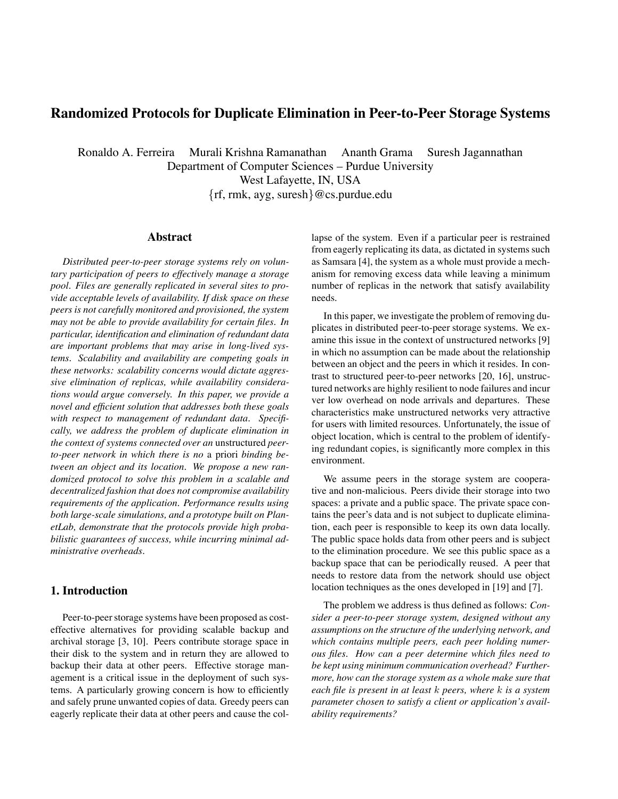# **Randomized Protocols for Duplicate Elimination in Peer-to-Peer Storage Systems**

Ronaldo A. Ferreira Murali Krishna Ramanathan Ananth Grama Suresh Jagannathan

Department of Computer Sciences – Purdue University

West Lafayette, IN, USA

{rf, rmk, ayg, suresh}@cs.purdue.edu

# **Abstract**

*Distributed peer-to-peer storage systems rely on voluntary participation of peers to effectively manage a storage pool. Files are generally replicated in several sites to provide acceptable levels of availability. If disk space on these peers is not carefully monitored and provisioned, the system may not be able to provide availability for certain files. In particular, identification and elimination of redundant data are important problems that may arise in long-lived systems. Scalability and availability are competing goals in these networks: scalability concerns would dictate aggressive elimination of replicas, while availability considerations would argue conversely. In this paper, we provide a novel and efficient solution that addresses both these goals with respect to management of redundant data. Specifically, we address the problem of duplicate elimination in the context of systems connected over an* unstructured *peerto-peer network in which there is no* a priori *binding between an object and its location. We propose a new randomized protocol to solve this problem in a scalable and decentralized fashion that does not compromise availability requirements of the application. Performance results using both large-scale simulations, and a prototype built on PlanetLab, demonstrate that the protocols provide high probabilistic guarantees of success, while incurring minimal administrative overheads.*

# **1. Introduction**

Peer-to-peer storage systems have been proposed as costeffective alternatives for providing scalable backup and archival storage [3, 10]. Peers contribute storage space in their disk to the system and in return they are allowed to backup their data at other peers. Effective storage management is a critical issue in the deployment of such systems. A particularly growing concern is how to efficiently and safely prune unwanted copies of data. Greedy peers can eagerly replicate their data at other peers and cause the collapse of the system. Even if a particular peer is restrained from eagerly replicating its data, as dictated in systems such as Samsara [4], the system as a whole must provide a mechanism for removing excess data while leaving a minimum number of replicas in the network that satisfy availability needs.

In this paper, we investigate the problem of removing duplicates in distributed peer-to-peer storage systems. We examine this issue in the context of unstructured networks [9] in which no assumption can be made about the relationship between an object and the peers in which it resides. In contrast to structured peer-to-peer networks [20, 16], unstructured networks are highly resilient to node failures and incur ver low overhead on node arrivals and departures. These characteristics make unstructured networks very attractive for users with limited resources. Unfortunately, the issue of object location, which is central to the problem of identifying redundant copies, is significantly more complex in this environment.

We assume peers in the storage system are cooperative and non-malicious. Peers divide their storage into two spaces: a private and a public space. The private space contains the peer's data and is not subject to duplicate elimination, each peer is responsible to keep its own data locally. The public space holds data from other peers and is subject to the elimination procedure. We see this public space as a backup space that can be periodically reused. A peer that needs to restore data from the network should use object location techniques as the ones developed in [19] and [7].

The problem we address is thus defined as follows: *Consider a peer-to-peer storage system, designed without any assumptions on the structure of the underlying network, and which contains multiple peers, each peer holding numerous files. How can a peer determine which files need to be kept using minimum communication overhead? Furthermore, how can the storage system as a whole make sure that each file is present in at least* k *peers, where* k *is a system parameter chosen to satisfy a client or application's availability requirements?*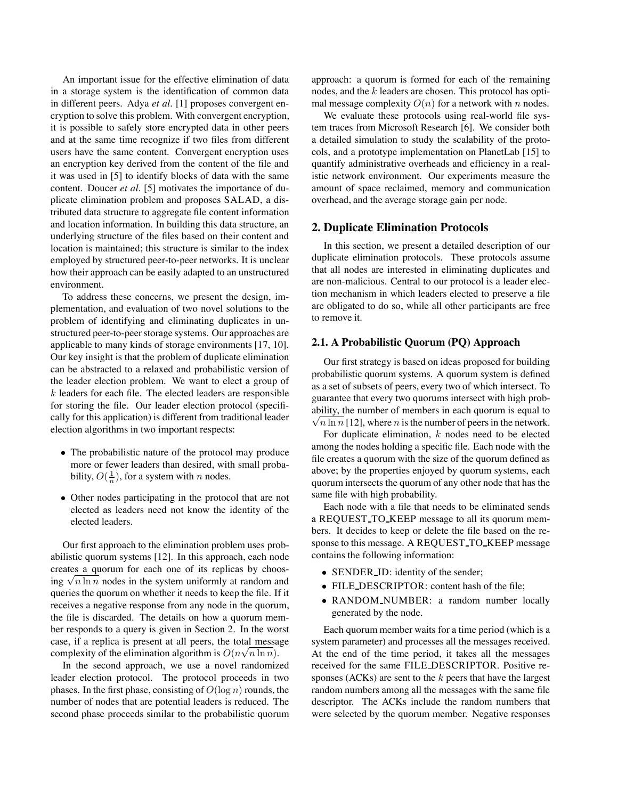An important issue for the effective elimination of data in a storage system is the identification of common data in different peers. Adya *et al.* [1] proposes convergent encryption to solve this problem. With convergent encryption, it is possible to safely store encrypted data in other peers and at the same time recognize if two files from different users have the same content. Convergent encryption uses an encryption key derived from the content of the file and it was used in [5] to identify blocks of data with the same content. Doucer *et al.* [5] motivates the importance of duplicate elimination problem and proposes SALAD, a distributed data structure to aggregate file content information and location information. In building this data structure, an underlying structure of the files based on their content and location is maintained; this structure is similar to the index employed by structured peer-to-peer networks. It is unclear how their approach can be easily adapted to an unstructured environment.

To address these concerns, we present the design, implementation, and evaluation of two novel solutions to the problem of identifying and eliminating duplicates in unstructured peer-to-peer storage systems. Our approaches are applicable to many kinds of storage environments [17, 10]. Our key insight is that the problem of duplicate elimination can be abstracted to a relaxed and probabilistic version of the leader election problem. We want to elect a group of  $k$  leaders for each file. The elected leaders are responsible for storing the file. Our leader election protocol (specifically for this application) is different from traditional leader election algorithms in two important respects:

- The probabilistic nature of the protocol may produce more or fewer leaders than desired, with small probability,  $O(\frac{1}{n})$ , for a system with *n* nodes.
- Other nodes participating in the protocol that are not elected as leaders need not know the identity of the elected leaders.

Our first approach to the elimination problem uses probabilistic quorum systems [12]. In this approach, each node creates a quorum for each one of its replicas by choosing  $\sqrt{n \ln n}$  nodes in the system uniformly at random and queries the quorum on whether it needs to keep the file. If it receives a negative response from any node in the quorum, the file is discarded. The details on how a quorum member responds to a query is given in Section 2. In the worst case, if a replica is present at all peers, the total message case, in a replied to present at an peerle, are total measurements of the elimination algorithm is  $O(n\sqrt{n \ln n})$ .

In the second approach, we use a novel randomized leader election protocol. The protocol proceeds in two phases. In the first phase, consisting of  $O(\log n)$  rounds, the number of nodes that are potential leaders is reduced. The second phase proceeds similar to the probabilistic quorum approach: a quorum is formed for each of the remaining nodes, and the  $k$  leaders are chosen. This protocol has optimal message complexity  $O(n)$  for a network with n nodes.

We evaluate these protocols using real-world file system traces from Microsoft Research [6]. We consider both a detailed simulation to study the scalability of the protocols, and a prototype implementation on PlanetLab [15] to quantify administrative overheads and efficiency in a realistic network environment. Our experiments measure the amount of space reclaimed, memory and communication overhead, and the average storage gain per node.

# **2. Duplicate Elimination Protocols**

In this section, we present a detailed description of our duplicate elimination protocols. These protocols assume that all nodes are interested in eliminating duplicates and are non-malicious. Central to our protocol is a leader election mechanism in which leaders elected to preserve a file are obligated to do so, while all other participants are free to remove it.

### **2.1. A Probabilistic Quorum (PQ) Approach**

Our first strategy is based on ideas proposed for building probabilistic quorum systems. A quorum system is defined as a set of subsets of peers, every two of which intersect. To guarantee that every two quorums intersect with high proba bility, the number of members in each quorum is equal to  $\sqrt{n \ln n}$  [12], where *n* is the number of peers in the network.

For duplicate elimination,  $k$  nodes need to be elected among the nodes holding a specific file. Each node with the file creates a quorum with the size of the quorum defined as above; by the properties enjoyed by quorum systems, each quorum intersects the quorum of any other node that has the same file with high probability.

Each node with a file that needs to be eliminated sends a REQUEST TO KEEP message to all its quorum members. It decides to keep or delete the file based on the response to this message. A REQUEST TO KEEP message contains the following information:

- SENDER ID: identity of the sender;
- FILE DESCRIPTOR: content hash of the file;
- RANDOM NUMBER: a random number locally generated by the node.

Each quorum member waits for a time period (which is a system parameter) and processes all the messages received. At the end of the time period, it takes all the messages received for the same FILE DESCRIPTOR. Positive responses (ACKs) are sent to the  $k$  peers that have the largest random numbers among all the messages with the same file descriptor. The ACKs include the random numbers that were selected by the quorum member. Negative responses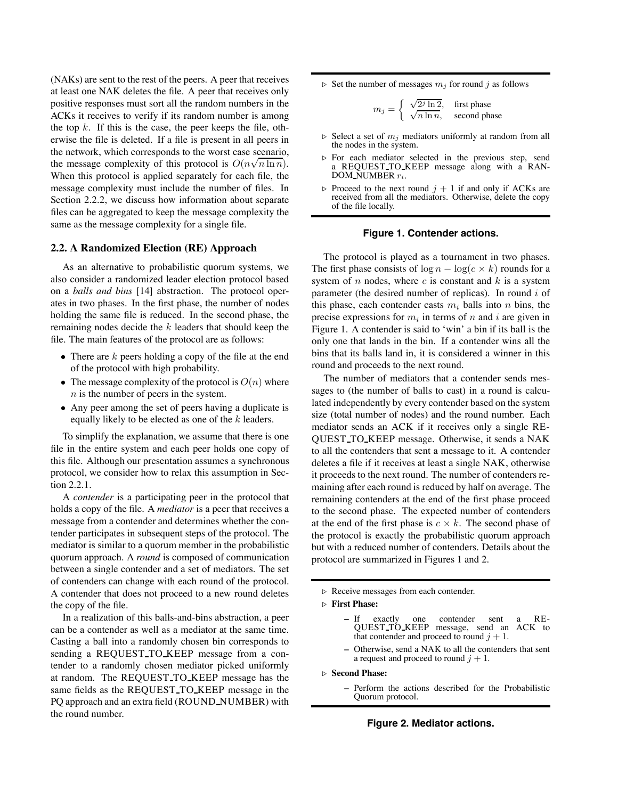(NAKs) are sent to the rest of the peers. A peer that receives at least one NAK deletes the file. A peer that receives only positive responses must sort all the random numbers in the ACKs it receives to verify if its random number is among the top  $k$ . If this is the case, the peer keeps the file, otherwise the file is deleted. If a file is present in all peers in the network, which corresponds to the worst case scenario, the message complexity of this protocol is  $O(n\sqrt{n \ln n})$ . When this protocol is applied separately for each file, the message complexity must include the number of files. In Section 2.2.2, we discuss how information about separate files can be aggregated to keep the message complexity the same as the message complexity for a single file.

# **2.2. A Randomized Election (RE) Approach**

As an alternative to probabilistic quorum systems, we also consider a randomized leader election protocol based on a *balls and bins* [14] abstraction. The protocol operates in two phases. In the first phase, the number of nodes holding the same file is reduced. In the second phase, the remaining nodes decide the  $k$  leaders that should keep the file. The main features of the protocol are as follows:

- There are  $k$  peers holding a copy of the file at the end of the protocol with high probability.
- The message complexity of the protocol is  $O(n)$  where  $n$  is the number of peers in the system.
- Any peer among the set of peers having a duplicate is equally likely to be elected as one of the  $k$  leaders.

To simplify the explanation, we assume that there is one file in the entire system and each peer holds one copy of this file. Although our presentation assumes a synchronous protocol, we consider how to relax this assumption in Section 2.2.1.

A *contender* is a participating peer in the protocol that holds a copy of the file. A *mediator* is a peer that receives a message from a contender and determines whether the contender participates in subsequent steps of the protocol. The mediator is similar to a quorum member in the probabilistic quorum approach. A *round* is composed of communication between a single contender and a set of mediators. The set of contenders can change with each round of the protocol. A contender that does not proceed to a new round deletes the copy of the file.

In a realization of this balls-and-bins abstraction, a peer can be a contender as well as a mediator at the same time. Casting a ball into a randomly chosen bin corresponds to sending a REQUEST TO KEEP message from a contender to a randomly chosen mediator picked uniformly at random. The REQUEST TO KEEP message has the same fields as the REQUEST TO KEEP message in the PQ approach and an extra field (ROUND NUMBER) with the round number.

 $\triangleright$  Set the number of messages  $m_j$  for round j as follows

$$
m_j = \begin{cases} \sqrt{2^j \ln 2}, & \text{first phase} \\ \sqrt{n \ln n}, & \text{second phase} \end{cases}
$$

- $\triangleright$  Select a set of  $m_i$  mediators uniformly at random from all the nodes in the system.
- $\triangleright$  For each mediator selected in the previous step, send a REQUEST TO KEEP message along with a RAN-DOM NUMBER  $r_i$ .
- $\triangleright$  Proceed to the next round  $j + 1$  if and only if ACKs are received from all the mediators. Otherwise, delete the copy of the file locally.

### **Figure 1. Contender actions.**

The protocol is played as a tournament in two phases. The first phase consists of  $\log n - \log(c \times k)$  rounds for a system of  $n$  nodes, where  $c$  is constant and  $k$  is a system parameter (the desired number of replicas). In round  $i$  of this phase, each contender casts  $m_i$  balls into n bins, the precise expressions for  $m_i$  in terms of n and i are given in Figure 1. A contender is said to 'win' a bin if its ball is the only one that lands in the bin. If a contender wins all the bins that its balls land in, it is considered a winner in this round and proceeds to the next round.

The number of mediators that a contender sends messages to (the number of balls to cast) in a round is calculated independently by every contender based on the system size (total number of nodes) and the round number. Each mediator sends an ACK if it receives only a single RE-QUEST TO KEEP message. Otherwise, it sends a NAK to all the contenders that sent a message to it. A contender deletes a file if it receives at least a single NAK, otherwise it proceeds to the next round. The number of contenders remaining after each round is reduced by half on average. The remaining contenders at the end of the first phase proceed to the second phase. The expected number of contenders at the end of the first phase is  $c \times k$ . The second phase of the protocol is exactly the probabilistic quorum approach but with a reduced number of contenders. Details about the protocol are summarized in Figures 1 and 2.

 $\triangleright$  Receive messages from each contender.

! **First Phase:**

- If exactly one contender sent a RE-<br>QUEST\_TO\_KEEP message, send an ACK to that contender and proceed to round  $j + 1$ .
- Otherwise, send a NAK to all the contenders that sent a request and proceed to round  $j + 1$ .

! **Second Phase:**

**–** Perform the actions described for the Probabilistic Quorum protocol.

**Figure 2. Mediator actions.**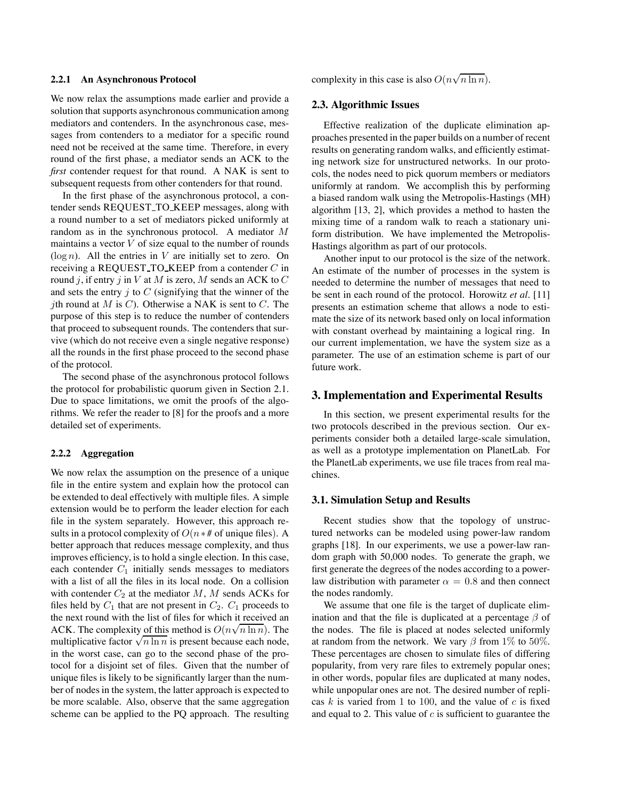#### **2.2.1 An Asynchronous Protocol**

We now relax the assumptions made earlier and provide a solution that supports asynchronous communication among mediators and contenders. In the asynchronous case, messages from contenders to a mediator for a specific round need not be received at the same time. Therefore, in every round of the first phase, a mediator sends an ACK to the *first* contender request for that round. A NAK is sent to subsequent requests from other contenders for that round.

In the first phase of the asynchronous protocol, a contender sends REQUEST TO KEEP messages, along with a round number to a set of mediators picked uniformly at random as in the synchronous protocol. A mediator M maintains a vector  $V$  of size equal to the number of rounds  $(\log n)$ . All the entries in V are initially set to zero. On receiving a REQUEST TO KEEP from a contender  $C$  in round j, if entry j in V at M is zero, M sends an ACK to C and sets the entry  $j$  to  $C$  (signifying that the winner of the jth round at M is C). Otherwise a NAK is sent to C. The purpose of this step is to reduce the number of contenders that proceed to subsequent rounds. The contenders that survive (which do not receive even a single negative response) all the rounds in the first phase proceed to the second phase of the protocol.

The second phase of the asynchronous protocol follows the protocol for probabilistic quorum given in Section 2.1. Due to space limitations, we omit the proofs of the algorithms. We refer the reader to [8] for the proofs and a more detailed set of experiments.

## **2.2.2 Aggregation**

We now relax the assumption on the presence of a unique file in the entire system and explain how the protocol can be extended to deal effectively with multiple files. A simple extension would be to perform the leader election for each file in the system separately. However, this approach results in a protocol complexity of  $O(n * #)$  of unique files). A better approach that reduces message complexity, and thus improves efficiency, is to hold a single election. In this case, each contender  $C_1$  initially sends messages to mediators with a list of all the files in its local node. On a collision with contender  $C_2$  at the mediator M, M sends ACKs for files held by  $C_1$  that are not present in  $C_2$ .  $C_1$  proceeds to the next round with the list of files for which it received an ACK. The complexity of this method is  $O(n\sqrt{n \ln n})$ . The multiplicative factor  $\sqrt{n \ln n}$  is present because each node, in the worst case, can go to the second phase of the protocol for a disjoint set of files. Given that the number of unique files is likely to be significantly larger than the number of nodes in the system, the latter approach is expected to be more scalable. Also, observe that the same aggregation scheme can be applied to the PQ approach. The resulting complexity in this case is also  $O(n\sqrt{n \ln n})$ .

### **2.3. Algorithmic Issues**

Effective realization of the duplicate elimination approaches presented in the paper builds on a number of recent results on generating random walks, and efficiently estimating network size for unstructured networks. In our protocols, the nodes need to pick quorum members or mediators uniformly at random. We accomplish this by performing a biased random walk using the Metropolis-Hastings (MH) algorithm [13, 2], which provides a method to hasten the mixing time of a random walk to reach a stationary uniform distribution. We have implemented the Metropolis-Hastings algorithm as part of our protocols.

Another input to our protocol is the size of the network. An estimate of the number of processes in the system is needed to determine the number of messages that need to be sent in each round of the protocol. Horowitz *et al.* [11] presents an estimation scheme that allows a node to estimate the size of its network based only on local information with constant overhead by maintaining a logical ring. In our current implementation, we have the system size as a parameter. The use of an estimation scheme is part of our future work.

## **3. Implementation and Experimental Results**

In this section, we present experimental results for the two protocols described in the previous section. Our experiments consider both a detailed large-scale simulation, as well as a prototype implementation on PlanetLab. For the PlanetLab experiments, we use file traces from real machines.

#### **3.1. Simulation Setup and Results**

Recent studies show that the topology of unstructured networks can be modeled using power-law random graphs [18]. In our experiments, we use a power-law random graph with 50,000 nodes. To generate the graph, we first generate the degrees of the nodes according to a powerlaw distribution with parameter  $\alpha = 0.8$  and then connect the nodes randomly.

We assume that one file is the target of duplicate elimination and that the file is duplicated at a percentage  $\beta$  of the nodes. The file is placed at nodes selected uniformly at random from the network. We vary  $\beta$  from 1\% to 50\%. These percentages are chosen to simulate files of differing popularity, from very rare files to extremely popular ones; in other words, popular files are duplicated at many nodes, while unpopular ones are not. The desired number of replicas k is varied from 1 to 100, and the value of  $c$  is fixed and equal to 2. This value of  $c$  is sufficient to guarantee the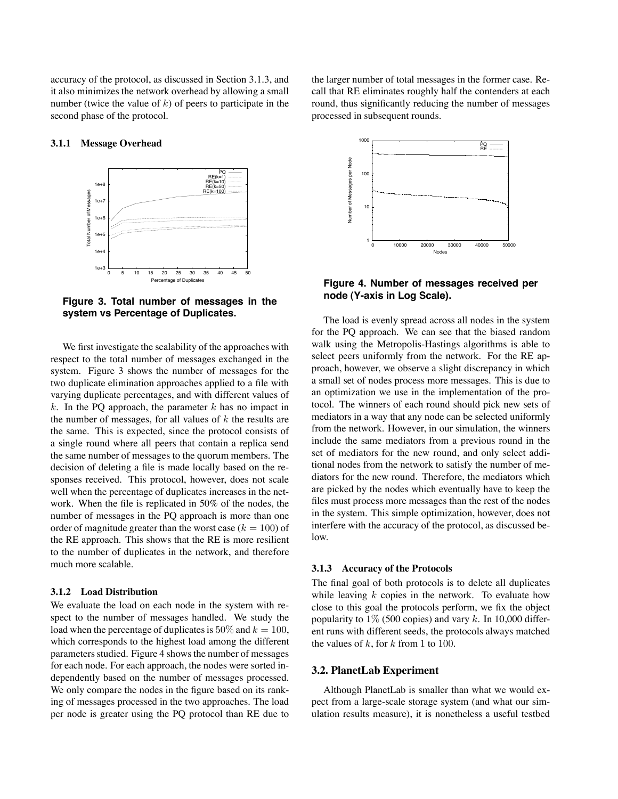accuracy of the protocol, as discussed in Section 3.1.3, and it also minimizes the network overhead by allowing a small number (twice the value of  $k$ ) of peers to participate in the second phase of the protocol.

## **3.1.1 Message Overhead**



**Figure 3. Total number of messages in the system vs Percentage of Duplicates.**

We first investigate the scalability of the approaches with respect to the total number of messages exchanged in the system. Figure 3 shows the number of messages for the two duplicate elimination approaches applied to a file with varying duplicate percentages, and with different values of k. In the PQ approach, the parameter  $k$  has no impact in the number of messages, for all values of  $k$  the results are the same. This is expected, since the protocol consists of a single round where all peers that contain a replica send the same number of messages to the quorum members. The decision of deleting a file is made locally based on the responses received. This protocol, however, does not scale well when the percentage of duplicates increases in the network. When the file is replicated in 50% of the nodes, the number of messages in the PQ approach is more than one order of magnitude greater than the worst case  $(k = 100)$  of the RE approach. This shows that the RE is more resilient to the number of duplicates in the network, and therefore much more scalable.

#### **3.1.2 Load Distribution**

We evaluate the load on each node in the system with respect to the number of messages handled. We study the load when the percentage of duplicates is 50% and  $k = 100$ , which corresponds to the highest load among the different parameters studied. Figure 4 shows the number of messages for each node. For each approach, the nodes were sorted independently based on the number of messages processed. We only compare the nodes in the figure based on its ranking of messages processed in the two approaches. The load per node is greater using the PQ protocol than RE due to the larger number of total messages in the former case. Recall that RE eliminates roughly half the contenders at each round, thus significantly reducing the number of messages processed in subsequent rounds.



# **Figure 4. Number of messages received per node (Y-axis in Log Scale).**

The load is evenly spread across all nodes in the system for the PQ approach. We can see that the biased random walk using the Metropolis-Hastings algorithms is able to select peers uniformly from the network. For the RE approach, however, we observe a slight discrepancy in which a small set of nodes process more messages. This is due to an optimization we use in the implementation of the protocol. The winners of each round should pick new sets of mediators in a way that any node can be selected uniformly from the network. However, in our simulation, the winners include the same mediators from a previous round in the set of mediators for the new round, and only select additional nodes from the network to satisfy the number of mediators for the new round. Therefore, the mediators which are picked by the nodes which eventually have to keep the files must process more messages than the rest of the nodes in the system. This simple optimization, however, does not interfere with the accuracy of the protocol, as discussed below.

#### **3.1.3 Accuracy of the Protocols**

The final goal of both protocols is to delete all duplicates while leaving  $k$  copies in the network. To evaluate how close to this goal the protocols perform, we fix the object popularity to  $1\%$  (500 copies) and vary k. In 10,000 different runs with different seeds, the protocols always matched the values of  $k$ , for  $k$  from 1 to 100.

### **3.2. PlanetLab Experiment**

Although PlanetLab is smaller than what we would expect from a large-scale storage system (and what our simulation results measure), it is nonetheless a useful testbed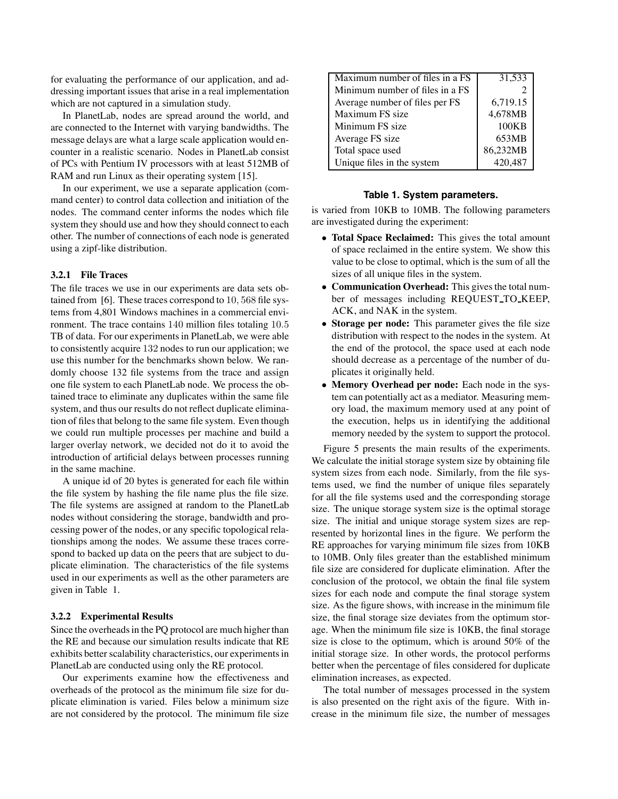for evaluating the performance of our application, and addressing important issues that arise in a real implementation which are not captured in a simulation study.

In PlanetLab, nodes are spread around the world, and are connected to the Internet with varying bandwidths. The message delays are what a large scale application would encounter in a realistic scenario. Nodes in PlanetLab consist of PCs with Pentium IV processors with at least 512MB of RAM and run Linux as their operating system [15].

In our experiment, we use a separate application (command center) to control data collection and initiation of the nodes. The command center informs the nodes which file system they should use and how they should connect to each other. The number of connections of each node is generated using a zipf-like distribution.

# **3.2.1 File Traces**

The file traces we use in our experiments are data sets obtained from [6]. These traces correspond to 10, 568 file systems from 4,801 Windows machines in a commercial environment. The trace contains 140 million files totaling 10.5 TB of data. For our experiments in PlanetLab, we were able to consistently acquire 132 nodes to run our application; we use this number for the benchmarks shown below. We randomly choose 132 file systems from the trace and assign one file system to each PlanetLab node. We process the obtained trace to eliminate any duplicates within the same file system, and thus our results do not reflect duplicate elimination of files that belong to the same file system. Even though we could run multiple processes per machine and build a larger overlay network, we decided not do it to avoid the introduction of artificial delays between processes running in the same machine.

A unique id of 20 bytes is generated for each file within the file system by hashing the file name plus the file size. The file systems are assigned at random to the PlanetLab nodes without considering the storage, bandwidth and processing power of the nodes, or any specific topological relationships among the nodes. We assume these traces correspond to backed up data on the peers that are subject to duplicate elimination. The characteristics of the file systems used in our experiments as well as the other parameters are given in Table 1.

#### **3.2.2 Experimental Results**

Since the overheadsin the PQ protocol are much higher than the RE and because our simulation results indicate that RE exhibits better scalability characteristics, our experiments in PlanetLab are conducted using only the RE protocol.

Our experiments examine how the effectiveness and overheads of the protocol as the minimum file size for duplicate elimination is varied. Files below a minimum size are not considered by the protocol. The minimum file size

| Maximum number of files in a FS | 31,533   |
|---------------------------------|----------|
| Minimum number of files in a FS |          |
| Average number of files per FS  | 6,719.15 |
| Maximum FS size                 | 4,678MB  |
| Minimum FS size                 | 100KB    |
| Average FS size                 | 653MB    |
| Total space used                | 86,232MB |
| Unique files in the system      | 420,487  |

#### **Table 1. System parameters.**

is varied from 10KB to 10MB. The following parameters are investigated during the experiment:

- **Total Space Reclaimed:** This gives the total amount of space reclaimed in the entire system. We show this value to be close to optimal, which is the sum of all the sizes of all unique files in the system.
- **Communication Overhead:** This gives the total number of messages including REQUEST TO KEEP, ACK, and NAK in the system.
- **Storage per node:** This parameter gives the file size distribution with respect to the nodes in the system. At the end of the protocol, the space used at each node should decrease as a percentage of the number of duplicates it originally held.
- **Memory Overhead per node:** Each node in the system can potentially act as a mediator. Measuring memory load, the maximum memory used at any point of the execution, helps us in identifying the additional memory needed by the system to support the protocol.

Figure 5 presents the main results of the experiments. We calculate the initial storage system size by obtaining file system sizes from each node. Similarly, from the file systems used, we find the number of unique files separately for all the file systems used and the corresponding storage size. The unique storage system size is the optimal storage size. The initial and unique storage system sizes are represented by horizontal lines in the figure. We perform the RE approaches for varying minimum file sizes from 10KB to 10MB. Only files greater than the established minimum file size are considered for duplicate elimination. After the conclusion of the protocol, we obtain the final file system sizes for each node and compute the final storage system size. As the figure shows, with increase in the minimum file size, the final storage size deviates from the optimum storage. When the minimum file size is 10KB, the final storage size is close to the optimum, which is around 50% of the initial storage size. In other words, the protocol performs better when the percentage of files considered for duplicate elimination increases, as expected.

The total number of messages processed in the system is also presented on the right axis of the figure. With increase in the minimum file size, the number of messages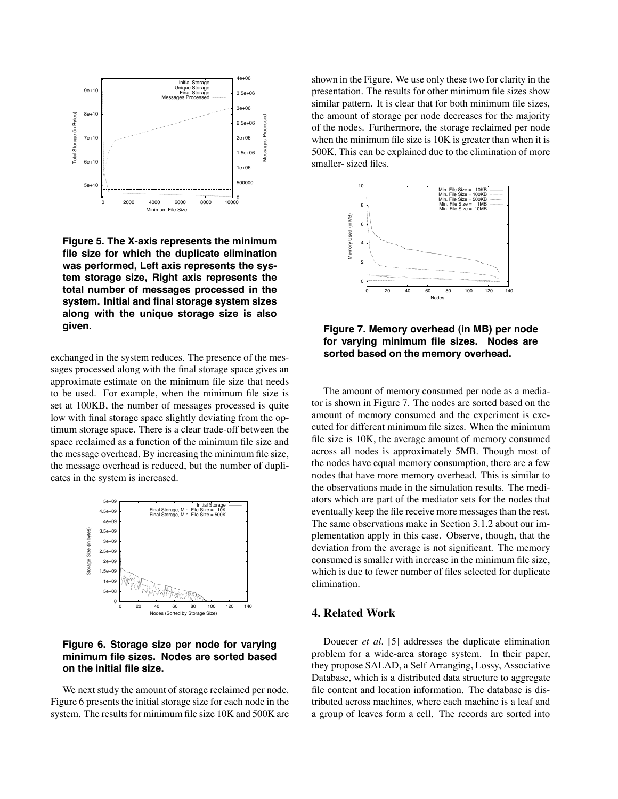

**Figure 5. The X-axis represents the minimum file size for which the duplicate elimination was performed, Left axis represents the system storage size, Right axis represents the total number of messages processed in the system. Initial and final storage system sizes along with the unique storage size is also given.**

exchanged in the system reduces. The presence of the messages processed along with the final storage space gives an approximate estimate on the minimum file size that needs to be used. For example, when the minimum file size is set at 100KB, the number of messages processed is quite low with final storage space slightly deviating from the optimum storage space. There is a clear trade-off between the space reclaimed as a function of the minimum file size and the message overhead. By increasing the minimum file size, the message overhead is reduced, but the number of duplicates in the system is increased.



# **Figure 6. Storage size per node for varying minimum file sizes. Nodes are sorted based on the initial file size.**

We next study the amount of storage reclaimed per node. Figure 6 presents the initial storage size for each node in the system. The results for minimum file size 10K and 500K are shown in the Figure. We use only these two for clarity in the presentation. The results for other minimum file sizes show similar pattern. It is clear that for both minimum file sizes, the amount of storage per node decreases for the majority of the nodes. Furthermore, the storage reclaimed per node when the minimum file size is 10K is greater than when it is 500K. This can be explained due to the elimination of more smaller- sized files.



**Figure 7. Memory overhead (in MB) per node for varying minimum file sizes. Nodes are sorted based on the memory overhead.**

The amount of memory consumed per node as a mediator is shown in Figure 7. The nodes are sorted based on the amount of memory consumed and the experiment is executed for different minimum file sizes. When the minimum file size is 10K, the average amount of memory consumed across all nodes is approximately 5MB. Though most of the nodes have equal memory consumption, there are a few nodes that have more memory overhead. This is similar to the observations made in the simulation results. The mediators which are part of the mediator sets for the nodes that eventually keep the file receive more messages than the rest. The same observations make in Section 3.1.2 about our implementation apply in this case. Observe, though, that the deviation from the average is not significant. The memory consumed is smaller with increase in the minimum file size, which is due to fewer number of files selected for duplicate elimination.

# **4. Related Work**

Douecer *et al.* [5] addresses the duplicate elimination problem for a wide-area storage system. In their paper, they propose SALAD, a Self Arranging, Lossy, Associative Database, which is a distributed data structure to aggregate file content and location information. The database is distributed across machines, where each machine is a leaf and a group of leaves form a cell. The records are sorted into